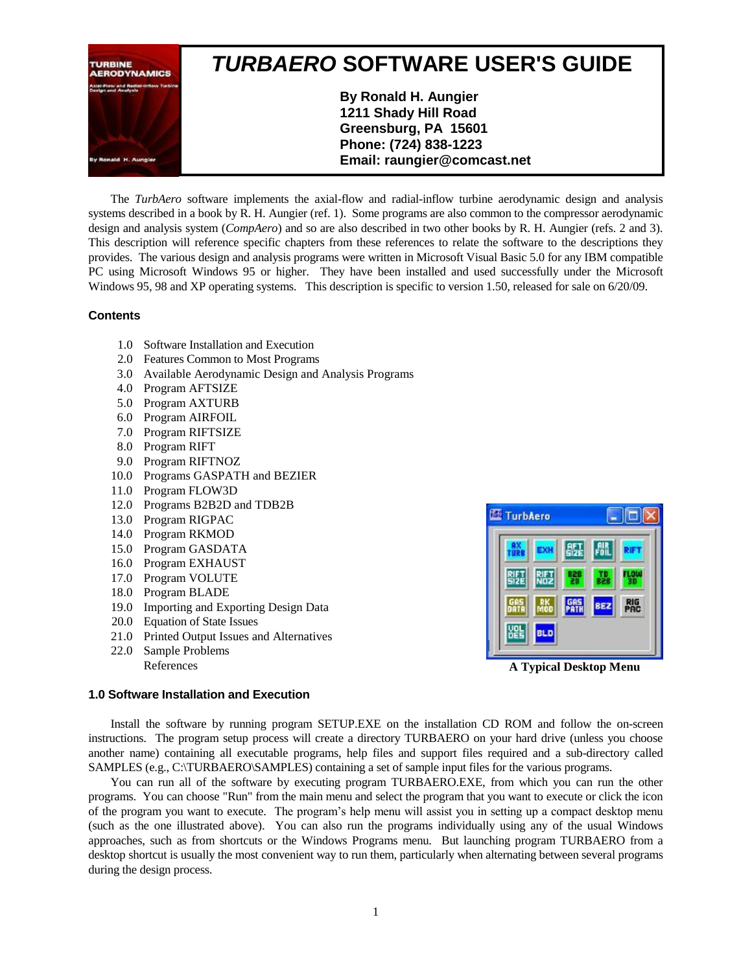

The *TurbAero* software implements the axial-flow and radial-inflow turbine aerodynamic design and analysis systems described in a book by R. H. Aungier (ref. 1). Some programs are also common to the compressor aerodynamic design and analysis system (*CompAero*) and so are also described in two other books by R. H. Aungier (refs. 2 and 3). This description will reference specific chapters from these references to relate the software to the descriptions they provides. The various design and analysis programs were written in Microsoft Visual Basic 5.0 for any IBM compatible PC using Microsoft Windows 95 or higher. They have been installed and used successfully under the Microsoft Windows 95, 98 and XP operating systems. This description is specific to version 1.50, released for sale on 6/20/09.

# **Contents**

- 1.0 Software Installation and Execution
- 2.0 Features Common to Most Programs
- 3.0 Available Aerodynamic Design and Analysis Programs
- 4.0 Program AFTSIZE
- 5.0 Program AXTURB
- 6.0 Program AIRFOIL
- 7.0 Program RIFTSIZE
- 8.0 Program RIFT
- 9.0 Program RIFTNOZ
- 10.0 Programs GASPATH and BEZIER
- 11.0 Program FLOW3D
- 12.0 Programs B2B2D and TDB2B
- 13.0 Program RIGPAC
- 14.0 Program RKMOD
- 15.0 Program GASDATA
- 16.0 Program EXHAUST
- 17.0 Program VOLUTE
- 18.0 Program BLADE
- 19.0 Importing and Exporting Design Data
- 20.0 Equation of State Issues
- 21.0 Printed Output Issues and Alternatives
- 22.0 Sample Problems
	- References



**A Typical Desktop Menu**

## **1.0 Software Installation and Execution**

Install the software by running program SETUP.EXE on the installation CD ROM and follow the on-screen instructions. The program setup process will create a directory TURBAERO on your hard drive (unless you choose another name) containing all executable programs, help files and support files required and a sub-directory called SAMPLES (e.g., C:\TURBAERO\SAMPLES) containing a set of sample input files for the various programs.

You can run all of the software by executing program TURBAERO.EXE, from which you can run the other programs. You can choose "Run" from the main menu and select the program that you want to execute or click the icon of the program you want to execute. The program's help menu will assist you in setting up a compact desktop menu (such as the one illustrated above). You can also run the programs individually using any of the usual Windows approaches, such as from shortcuts or the Windows Programs menu. But launching program TURBAERO from a desktop shortcut is usually the most convenient way to run them, particularly when alternating between several programs during the design process.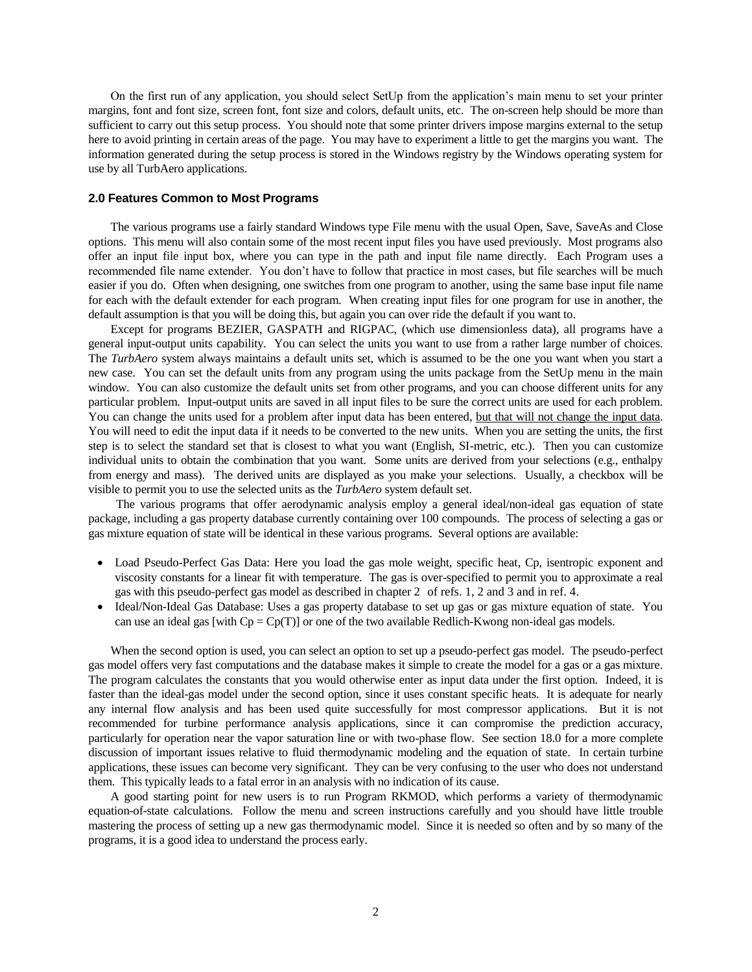On the first run of any application, you should select SetUp from the application's main menu to set your printer margins, font and font size, screen font, font size and colors, default units, etc. The on-screen help should be more than sufficient to carry out this setup process. You should note that some printer drivers impose margins external to the setup here to avoid printing in certain areas of the page. You may have to experiment a little to get the margins you want. The information generated during the setup process is stored in the Windows registry by the Windows operating system for use by all TurbAero applications.

### **2.0 Features Common to Most Programs**

The various programs use a fairly standard Windows type File menu with the usual Open, Save, SaveAs and Close options. This menu will also contain some of the most recent input files you have used previously. Most programs also offer an input file input box, where you can type in the path and input file name directly. Each Program uses a recommended file name extender. You don't have to follow that practice in most cases, but file searches will be much easier if you do. Often when designing, one switches from one program to another, using the same base input file name for each with the default extender for each program. When creating input files for one program for use in another, the default assumption is that you will be doing this, but again you can over ride the default if you want to.

Except for programs BEZIER, GASPATH and RIGPAC, (which use dimensionless data), all programs have a general input-output units capability. You can select the units you want to use from a rather large number of choices. The *TurbAero* system always maintains a default units set, which is assumed to be the one you want when you start a new case. You can set the default units from any program using the units package from the SetUp menu in the main window. You can also customize the default units set from other programs, and you can choose different units for any particular problem. Input-output units are saved in all input files to be sure the correct units are used for each problem. You can change the units used for a problem after input data has been entered, but that will not change the input data. You will need to edit the input data if it needs to be converted to the new units. When you are setting the units, the first step is to select the standard set that is closest to what you want (English, SI-metric, etc.). Then you can customize individual units to obtain the combination that you want. Some units are derived from your selections (e.g., enthalpy from energy and mass). The derived units are displayed as you make your selections. Usually, a checkbox will be visible to permit you to use the selected units as the *TurbAero* system default set.

The various programs that offer aerodynamic analysis employ a general ideal/non-ideal gas equation of state package, including a gas property database currently containing over 100 compounds. The process of selecting a gas or gas mixture equation of state will be identical in these various programs. Several options are available:

- Load Pseudo-Perfect Gas Data: Here you load the gas mole weight, specific heat, Cp, isentropic exponent and viscosity constants for a linear fit with temperature. The gas is over-specified to permit you to approximate a real gas with this pseudo-perfect gas model as described in chapter 2 of refs. 1, 2 and 3 and in ref. 4.
- Ideal/Non-Ideal Gas Database: Uses a gas property database to set up gas or gas mixture equation of state. You can use an ideal gas [with  $Cp = Cp(T)$ ] or one of the two available Redlich-Kwong non-ideal gas models.

When the second option is used, you can select an option to set up a pseudo-perfect gas model. The pseudo-perfect gas model offers very fast computations and the database makes it simple to create the model for a gas or a gas mixture. The program calculates the constants that you would otherwise enter as input data under the first option. Indeed, it is faster than the ideal-gas model under the second option, since it uses constant specific heats. It is adequate for nearly any internal flow analysis and has been used quite successfully for most compressor applications. But it is not recommended for turbine performance analysis applications, since it can compromise the prediction accuracy, particularly for operation near the vapor saturation line or with two-phase flow. See section 18.0 for a more complete discussion of important issues relative to fluid thermodynamic modeling and the equation of state. In certain turbine applications, these issues can become very significant. They can be very confusing to the user who does not understand them. This typically leads to a fatal error in an analysis with no indication of its cause.

A good starting point for new users is to run Program RKMOD, which performs a variety of thermodynamic equation-of-state calculations. Follow the menu and screen instructions carefully and you should have little trouble mastering the process of setting up a new gas thermodynamic model. Since it is needed so often and by so many of the programs, it is a good idea to understand the process early.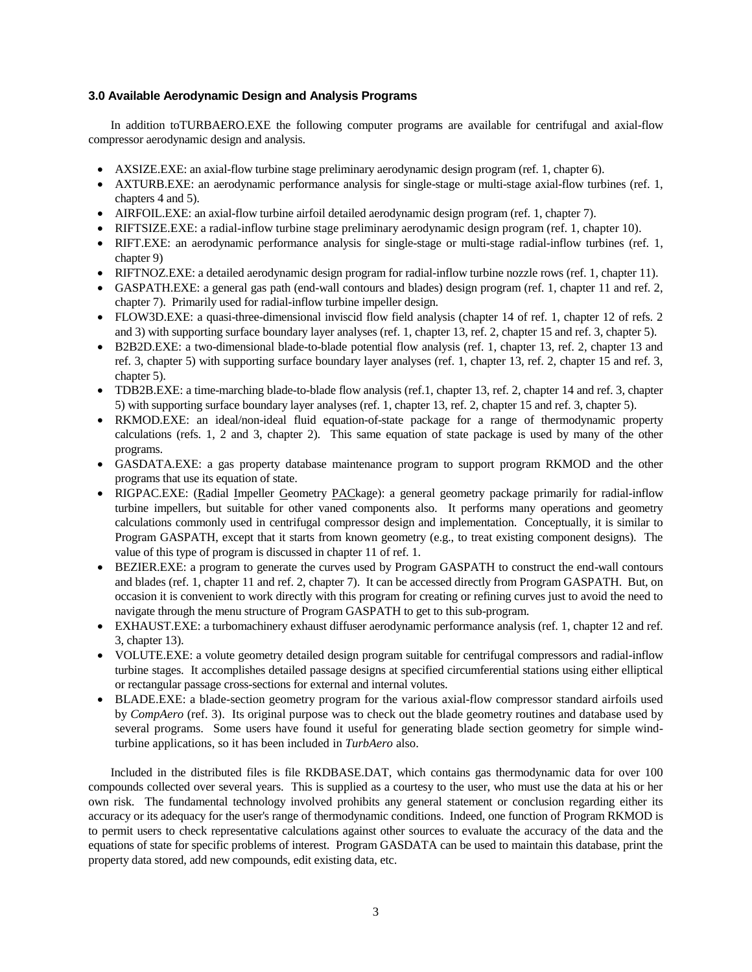# **3.0 Available Aerodynamic Design and Analysis Programs**

In addition toTURBAERO.EXE the following computer programs are available for centrifugal and axial-flow compressor aerodynamic design and analysis.

- AXSIZE.EXE: an axial-flow turbine stage preliminary aerodynamic design program (ref. 1, chapter 6).
- AXTURB.EXE: an aerodynamic performance analysis for single-stage or multi-stage axial-flow turbines (ref. 1, chapters 4 and 5).
- AIRFOIL.EXE: an axial-flow turbine airfoil detailed aerodynamic design program (ref. 1, chapter 7).
- RIFTSIZE.EXE: a radial-inflow turbine stage preliminary aerodynamic design program (ref. 1, chapter 10).
- RIFT.EXE: an aerodynamic performance analysis for single-stage or multi-stage radial-inflow turbines (ref. 1, chapter 9)
- RIFTNOZ.EXE: a detailed aerodynamic design program for radial-inflow turbine nozzle rows (ref. 1, chapter 11).
- GASPATH.EXE: a general gas path (end-wall contours and blades) design program (ref. 1, chapter 11 and ref. 2, chapter 7). Primarily used for radial-inflow turbine impeller design.
- FLOW3D.EXE: a quasi-three-dimensional inviscid flow field analysis (chapter 14 of ref. 1, chapter 12 of refs. 2 and 3) with supporting surface boundary layer analyses (ref. 1, chapter 13, ref. 2, chapter 15 and ref. 3, chapter 5).
- B2B2D.EXE: a two-dimensional blade-to-blade potential flow analysis (ref. 1, chapter 13, ref. 2, chapter 13 and ref. 3, chapter 5) with supporting surface boundary layer analyses (ref. 1, chapter 13, ref. 2, chapter 15 and ref. 3, chapter 5).
- TDB2B.EXE: a time-marching blade-to-blade flow analysis (ref.1, chapter 13, ref. 2, chapter 14 and ref. 3, chapter 5) with supporting surface boundary layer analyses (ref. 1, chapter 13, ref. 2, chapter 15 and ref. 3, chapter 5).
- RKMOD.EXE: an ideal/non-ideal fluid equation-of-state package for a range of thermodynamic property calculations (refs. 1, 2 and 3, chapter 2). This same equation of state package is used by many of the other programs.
- GASDATA.EXE: a gas property database maintenance program to support program RKMOD and the other programs that use its equation of state.
- RIGPAC.EXE: (Radial Impeller Geometry PACkage): a general geometry package primarily for radial-inflow turbine impellers, but suitable for other vaned components also. It performs many operations and geometry calculations commonly used in centrifugal compressor design and implementation. Conceptually, it is similar to Program GASPATH, except that it starts from known geometry (e.g., to treat existing component designs). The value of this type of program is discussed in chapter 11 of ref. 1.
- BEZIER.EXE: a program to generate the curves used by Program GASPATH to construct the end-wall contours and blades (ref. 1, chapter 11 and ref. 2, chapter 7). It can be accessed directly from Program GASPATH. But, on occasion it is convenient to work directly with this program for creating or refining curves just to avoid the need to navigate through the menu structure of Program GASPATH to get to this sub-program.
- EXHAUST.EXE: a turbomachinery exhaust diffuser aerodynamic performance analysis (ref. 1, chapter 12 and ref. 3, chapter 13).
- VOLUTE.EXE: a volute geometry detailed design program suitable for centrifugal compressors and radial-inflow turbine stages. It accomplishes detailed passage designs at specified circumferential stations using either elliptical or rectangular passage cross-sections for external and internal volutes.
- BLADE.EXE: a blade-section geometry program for the various axial-flow compressor standard airfoils used by *CompAero* (ref. 3). Its original purpose was to check out the blade geometry routines and database used by several programs. Some users have found it useful for generating blade section geometry for simple windturbine applications, so it has been included in *TurbAero* also.

Included in the distributed files is file RKDBASE.DAT, which contains gas thermodynamic data for over 100 compounds collected over several years. This is supplied as a courtesy to the user, who must use the data at his or her own risk. The fundamental technology involved prohibits any general statement or conclusion regarding either its accuracy or its adequacy for the user's range of thermodynamic conditions. Indeed, one function of Program RKMOD is to permit users to check representative calculations against other sources to evaluate the accuracy of the data and the equations of state for specific problems of interest. Program GASDATA can be used to maintain this database, print the property data stored, add new compounds, edit existing data, etc.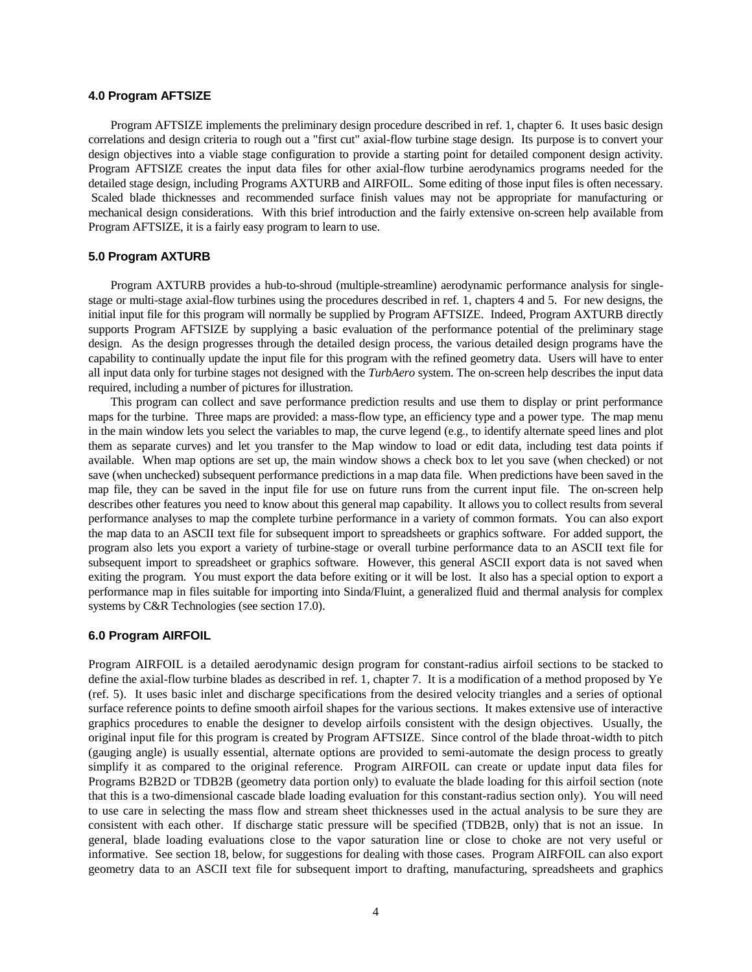## **4.0 Program AFTSIZE**

Program AFTSIZE implements the preliminary design procedure described in ref. 1, chapter 6. It uses basic design correlations and design criteria to rough out a "first cut" axial-flow turbine stage design. Its purpose is to convert your design objectives into a viable stage configuration to provide a starting point for detailed component design activity. Program AFTSIZE creates the input data files for other axial-flow turbine aerodynamics programs needed for the detailed stage design, including Programs AXTURB and AIRFOIL. Some editing of those input files is often necessary. Scaled blade thicknesses and recommended surface finish values may not be appropriate for manufacturing or mechanical design considerations. With this brief introduction and the fairly extensive on-screen help available from Program AFTSIZE, it is a fairly easy program to learn to use.

## **5.0 Program AXTURB**

Program AXTURB provides a hub-to-shroud (multiple-streamline) aerodynamic performance analysis for singlestage or multi-stage axial-flow turbines using the procedures described in ref. 1, chapters 4 and 5. For new designs, the initial input file for this program will normally be supplied by Program AFTSIZE. Indeed, Program AXTURB directly supports Program AFTSIZE by supplying a basic evaluation of the performance potential of the preliminary stage design. As the design progresses through the detailed design process, the various detailed design programs have the capability to continually update the input file for this program with the refined geometry data. Users will have to enter all input data only for turbine stages not designed with the *TurbAero* system. The on-screen help describes the input data required, including a number of pictures for illustration.

This program can collect and save performance prediction results and use them to display or print performance maps for the turbine. Three maps are provided: a mass-flow type, an efficiency type and a power type. The map menu in the main window lets you select the variables to map, the curve legend (e.g., to identify alternate speed lines and plot them as separate curves) and let you transfer to the Map window to load or edit data, including test data points if available. When map options are set up, the main window shows a check box to let you save (when checked) or not save (when unchecked) subsequent performance predictions in a map data file. When predictions have been saved in the map file, they can be saved in the input file for use on future runs from the current input file. The on-screen help describes other features you need to know about this general map capability. It allows you to collect results from several performance analyses to map the complete turbine performance in a variety of common formats. You can also export the map data to an ASCII text file for subsequent import to spreadsheets or graphics software. For added support, the program also lets you export a variety of turbine-stage or overall turbine performance data to an ASCII text file for subsequent import to spreadsheet or graphics software. However, this general ASCII export data is not saved when exiting the program. You must export the data before exiting or it will be lost. It also has a special option to export a performance map in files suitable for importing into Sinda/Fluint, a generalized fluid and thermal analysis for complex systems by C&R Technologies (see section 17.0).

### **6.0 Program AIRFOIL**

Program AIRFOIL is a detailed aerodynamic design program for constant-radius airfoil sections to be stacked to define the axial-flow turbine blades as described in ref. 1, chapter 7. It is a modification of a method proposed by Ye (ref. 5). It uses basic inlet and discharge specifications from the desired velocity triangles and a series of optional surface reference points to define smooth airfoil shapes for the various sections. It makes extensive use of interactive graphics procedures to enable the designer to develop airfoils consistent with the design objectives. Usually, the original input file for this program is created by Program AFTSIZE. Since control of the blade throat-width to pitch (gauging angle) is usually essential, alternate options are provided to semi-automate the design process to greatly simplify it as compared to the original reference. Program AIRFOIL can create or update input data files for Programs B2B2D or TDB2B (geometry data portion only) to evaluate the blade loading for this airfoil section (note that this is a two-dimensional cascade blade loading evaluation for this constant-radius section only). You will need to use care in selecting the mass flow and stream sheet thicknesses used in the actual analysis to be sure they are consistent with each other. If discharge static pressure will be specified (TDB2B, only) that is not an issue. In general, blade loading evaluations close to the vapor saturation line or close to choke are not very useful or informative. See section 18, below, for suggestions for dealing with those cases. Program AIRFOIL can also export geometry data to an ASCII text file for subsequent import to drafting, manufacturing, spreadsheets and graphics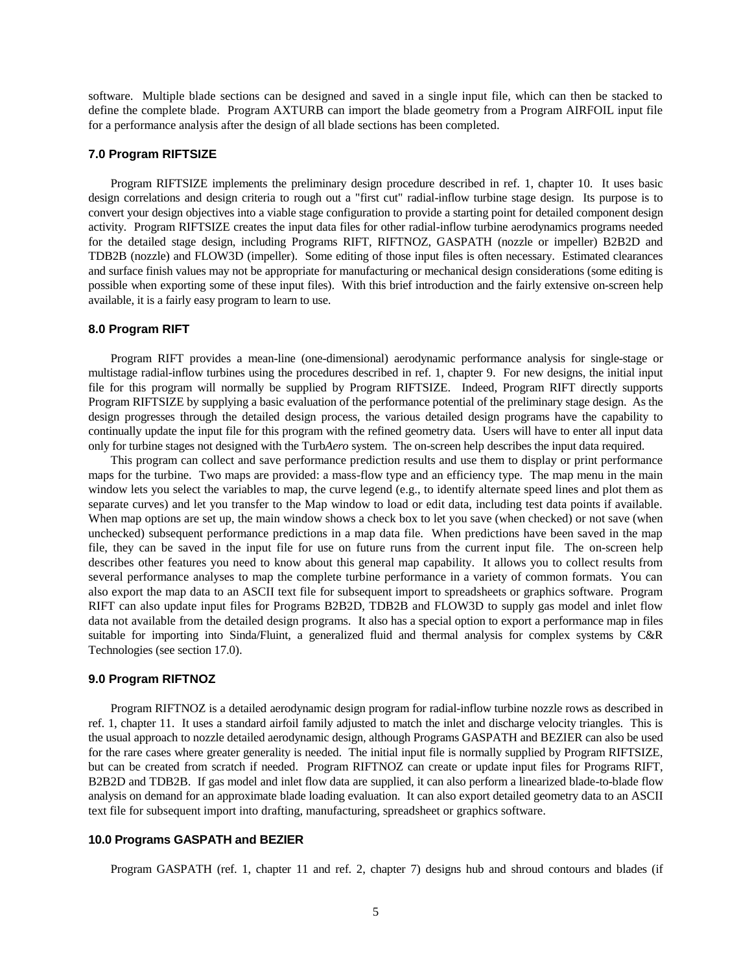software. Multiple blade sections can be designed and saved in a single input file, which can then be stacked to define the complete blade. Program AXTURB can import the blade geometry from a Program AIRFOIL input file for a performance analysis after the design of all blade sections has been completed.

## **7.0 Program RIFTSIZE**

Program RIFTSIZE implements the preliminary design procedure described in ref. 1, chapter 10. It uses basic design correlations and design criteria to rough out a "first cut" radial-inflow turbine stage design. Its purpose is to convert your design objectives into a viable stage configuration to provide a starting point for detailed component design activity. Program RIFTSIZE creates the input data files for other radial-inflow turbine aerodynamics programs needed for the detailed stage design, including Programs RIFT, RIFTNOZ, GASPATH (nozzle or impeller) B2B2D and TDB2B (nozzle) and FLOW3D (impeller). Some editing of those input files is often necessary. Estimated clearances and surface finish values may not be appropriate for manufacturing or mechanical design considerations (some editing is possible when exporting some of these input files). With this brief introduction and the fairly extensive on-screen help available, it is a fairly easy program to learn to use.

# **8.0 Program RIFT**

Program RIFT provides a mean-line (one-dimensional) aerodynamic performance analysis for single-stage or multistage radial-inflow turbines using the procedures described in ref. 1, chapter 9. For new designs, the initial input file for this program will normally be supplied by Program RIFTSIZE. Indeed, Program RIFT directly supports Program RIFTSIZE by supplying a basic evaluation of the performance potential of the preliminary stage design. As the design progresses through the detailed design process, the various detailed design programs have the capability to continually update the input file for this program with the refined geometry data. Users will have to enter all input data only for turbine stages not designed with the Turb*Aero* system. The on-screen help describes the input data required.

This program can collect and save performance prediction results and use them to display or print performance maps for the turbine. Two maps are provided: a mass-flow type and an efficiency type. The map menu in the main window lets you select the variables to map, the curve legend (e.g., to identify alternate speed lines and plot them as separate curves) and let you transfer to the Map window to load or edit data, including test data points if available. When map options are set up, the main window shows a check box to let you save (when checked) or not save (when unchecked) subsequent performance predictions in a map data file. When predictions have been saved in the map file, they can be saved in the input file for use on future runs from the current input file. The on-screen help describes other features you need to know about this general map capability. It allows you to collect results from several performance analyses to map the complete turbine performance in a variety of common formats. You can also export the map data to an ASCII text file for subsequent import to spreadsheets or graphics software. Program RIFT can also update input files for Programs B2B2D, TDB2B and FLOW3D to supply gas model and inlet flow data not available from the detailed design programs. It also has a special option to export a performance map in files suitable for importing into Sinda/Fluint, a generalized fluid and thermal analysis for complex systems by C&R Technologies (see section 17.0).

### **9.0 Program RIFTNOZ**

Program RIFTNOZ is a detailed aerodynamic design program for radial-inflow turbine nozzle rows as described in ref. 1, chapter 11. It uses a standard airfoil family adjusted to match the inlet and discharge velocity triangles. This is the usual approach to nozzle detailed aerodynamic design, although Programs GASPATH and BEZIER can also be used for the rare cases where greater generality is needed. The initial input file is normally supplied by Program RIFTSIZE, but can be created from scratch if needed. Program RIFTNOZ can create or update input files for Programs RIFT, B2B2D and TDB2B. If gas model and inlet flow data are supplied, it can also perform a linearized blade-to-blade flow analysis on demand for an approximate blade loading evaluation. It can also export detailed geometry data to an ASCII text file for subsequent import into drafting, manufacturing, spreadsheet or graphics software.

## **10.0 Programs GASPATH and BEZIER**

Program GASPATH (ref. 1, chapter 11 and ref. 2, chapter 7) designs hub and shroud contours and blades (if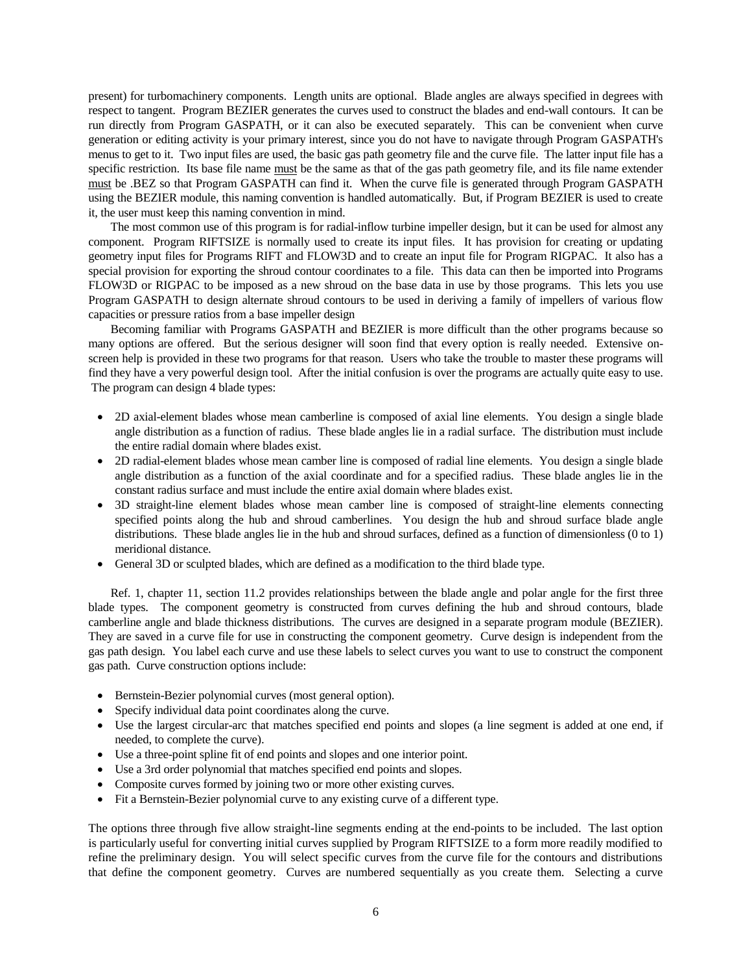present) for turbomachinery components. Length units are optional. Blade angles are always specified in degrees with respect to tangent. Program BEZIER generates the curves used to construct the blades and end-wall contours. It can be run directly from Program GASPATH, or it can also be executed separately. This can be convenient when curve generation or editing activity is your primary interest, since you do not have to navigate through Program GASPATH's menus to get to it. Two input files are used, the basic gas path geometry file and the curve file. The latter input file has a specific restriction. Its base file name must be the same as that of the gas path geometry file, and its file name extender must be .BEZ so that Program GASPATH can find it. When the curve file is generated through Program GASPATH using the BEZIER module, this naming convention is handled automatically. But, if Program BEZIER is used to create it, the user must keep this naming convention in mind.

The most common use of this program is for radial-inflow turbine impeller design, but it can be used for almost any component. Program RIFTSIZE is normally used to create its input files. It has provision for creating or updating geometry input files for Programs RIFT and FLOW3D and to create an input file for Program RIGPAC. It also has a special provision for exporting the shroud contour coordinates to a file. This data can then be imported into Programs FLOW3D or RIGPAC to be imposed as a new shroud on the base data in use by those programs. This lets you use Program GASPATH to design alternate shroud contours to be used in deriving a family of impellers of various flow capacities or pressure ratios from a base impeller design

Becoming familiar with Programs GASPATH and BEZIER is more difficult than the other programs because so many options are offered. But the serious designer will soon find that every option is really needed. Extensive onscreen help is provided in these two programs for that reason. Users who take the trouble to master these programs will find they have a very powerful design tool. After the initial confusion is over the programs are actually quite easy to use. The program can design 4 blade types:

- 2D axial-element blades whose mean camberline is composed of axial line elements. You design a single blade angle distribution as a function of radius. These blade angles lie in a radial surface. The distribution must include the entire radial domain where blades exist.
- 2D radial-element blades whose mean camber line is composed of radial line elements. You design a single blade angle distribution as a function of the axial coordinate and for a specified radius. These blade angles lie in the constant radius surface and must include the entire axial domain where blades exist.
- 3D straight-line element blades whose mean camber line is composed of straight-line elements connecting specified points along the hub and shroud camberlines. You design the hub and shroud surface blade angle distributions. These blade angles lie in the hub and shroud surfaces, defined as a function of dimensionless (0 to 1) meridional distance.
- General 3D or sculpted blades, which are defined as a modification to the third blade type.

Ref. 1, chapter 11, section 11.2 provides relationships between the blade angle and polar angle for the first three blade types. The component geometry is constructed from curves defining the hub and shroud contours, blade camberline angle and blade thickness distributions. The curves are designed in a separate program module (BEZIER). They are saved in a curve file for use in constructing the component geometry. Curve design is independent from the gas path design. You label each curve and use these labels to select curves you want to use to construct the component gas path. Curve construction options include:

- Bernstein-Bezier polynomial curves (most general option).
- Specify individual data point coordinates along the curve.
- Use the largest circular-arc that matches specified end points and slopes (a line segment is added at one end, if needed, to complete the curve).
- Use a three-point spline fit of end points and slopes and one interior point.
- Use a 3rd order polynomial that matches specified end points and slopes.
- Composite curves formed by joining two or more other existing curves.
- Fit a Bernstein-Bezier polynomial curve to any existing curve of a different type.

The options three through five allow straight-line segments ending at the end-points to be included. The last option is particularly useful for converting initial curves supplied by Program RIFTSIZE to a form more readily modified to refine the preliminary design. You will select specific curves from the curve file for the contours and distributions that define the component geometry. Curves are numbered sequentially as you create them. Selecting a curve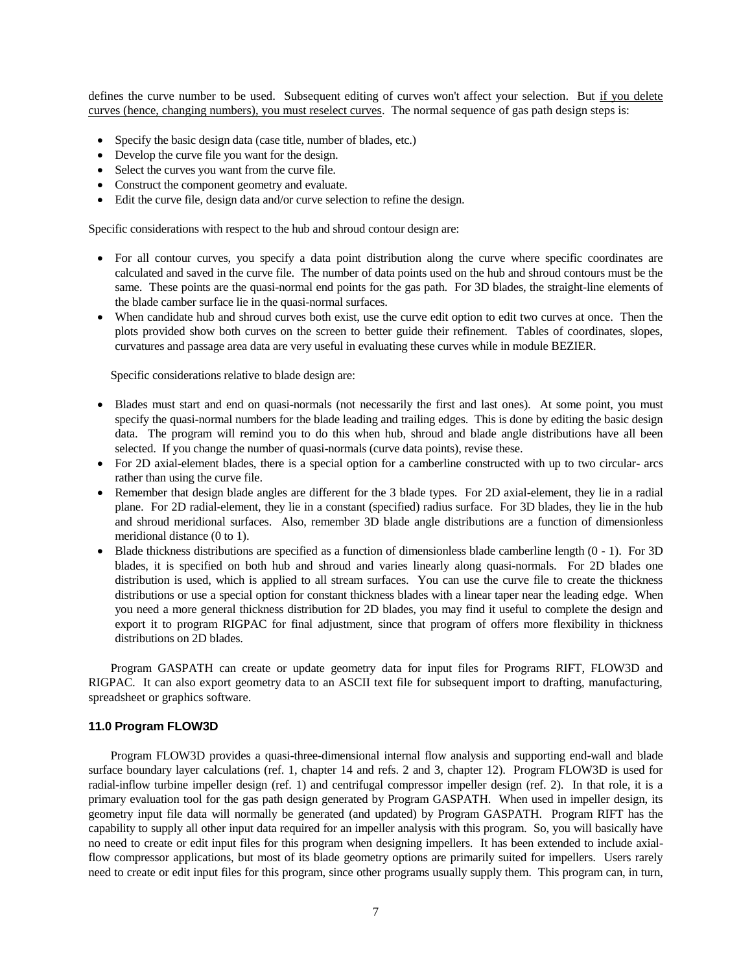defines the curve number to be used. Subsequent editing of curves won't affect your selection. But if you delete curves (hence, changing numbers), you must reselect curves. The normal sequence of gas path design steps is:

- Specify the basic design data (case title, number of blades, etc.)
- Develop the curve file you want for the design.
- Select the curves you want from the curve file.
- Construct the component geometry and evaluate.
- Edit the curve file, design data and/or curve selection to refine the design.

Specific considerations with respect to the hub and shroud contour design are:

- For all contour curves, you specify a data point distribution along the curve where specific coordinates are calculated and saved in the curve file. The number of data points used on the hub and shroud contours must be the same. These points are the quasi-normal end points for the gas path. For 3D blades, the straight-line elements of the blade camber surface lie in the quasi-normal surfaces.
- When candidate hub and shroud curves both exist, use the curve edit option to edit two curves at once. Then the plots provided show both curves on the screen to better guide their refinement. Tables of coordinates, slopes, curvatures and passage area data are very useful in evaluating these curves while in module BEZIER.

Specific considerations relative to blade design are:

- Blades must start and end on quasi-normals (not necessarily the first and last ones). At some point, you must specify the quasi-normal numbers for the blade leading and trailing edges. This is done by editing the basic design data. The program will remind you to do this when hub, shroud and blade angle distributions have all been selected. If you change the number of quasi-normals (curve data points), revise these.
- For 2D axial-element blades, there is a special option for a camberline constructed with up to two circular- arcs rather than using the curve file.
- Remember that design blade angles are different for the 3 blade types. For 2D axial-element, they lie in a radial plane. For 2D radial-element, they lie in a constant (specified) radius surface. For 3D blades, they lie in the hub and shroud meridional surfaces. Also, remember 3D blade angle distributions are a function of dimensionless meridional distance (0 to 1).
- $\bullet$  Blade thickness distributions are specified as a function of dimensionless blade camberline length  $(0 1)$ . For 3D blades, it is specified on both hub and shroud and varies linearly along quasi-normals. For 2D blades one distribution is used, which is applied to all stream surfaces. You can use the curve file to create the thickness distributions or use a special option for constant thickness blades with a linear taper near the leading edge. When you need a more general thickness distribution for 2D blades, you may find it useful to complete the design and export it to program RIGPAC for final adjustment, since that program of offers more flexibility in thickness distributions on 2D blades.

Program GASPATH can create or update geometry data for input files for Programs RIFT, FLOW3D and RIGPAC. It can also export geometry data to an ASCII text file for subsequent import to drafting, manufacturing, spreadsheet or graphics software.

# **11.0 Program FLOW3D**

Program FLOW3D provides a quasi-three-dimensional internal flow analysis and supporting end-wall and blade surface boundary layer calculations (ref. 1, chapter 14 and refs. 2 and 3, chapter 12). Program FLOW3D is used for radial-inflow turbine impeller design (ref. 1) and centrifugal compressor impeller design (ref. 2). In that role, it is a primary evaluation tool for the gas path design generated by Program GASPATH. When used in impeller design, its geometry input file data will normally be generated (and updated) by Program GASPATH. Program RIFT has the capability to supply all other input data required for an impeller analysis with this program. So, you will basically have no need to create or edit input files for this program when designing impellers. It has been extended to include axialflow compressor applications, but most of its blade geometry options are primarily suited for impellers. Users rarely need to create or edit input files for this program, since other programs usually supply them. This program can, in turn,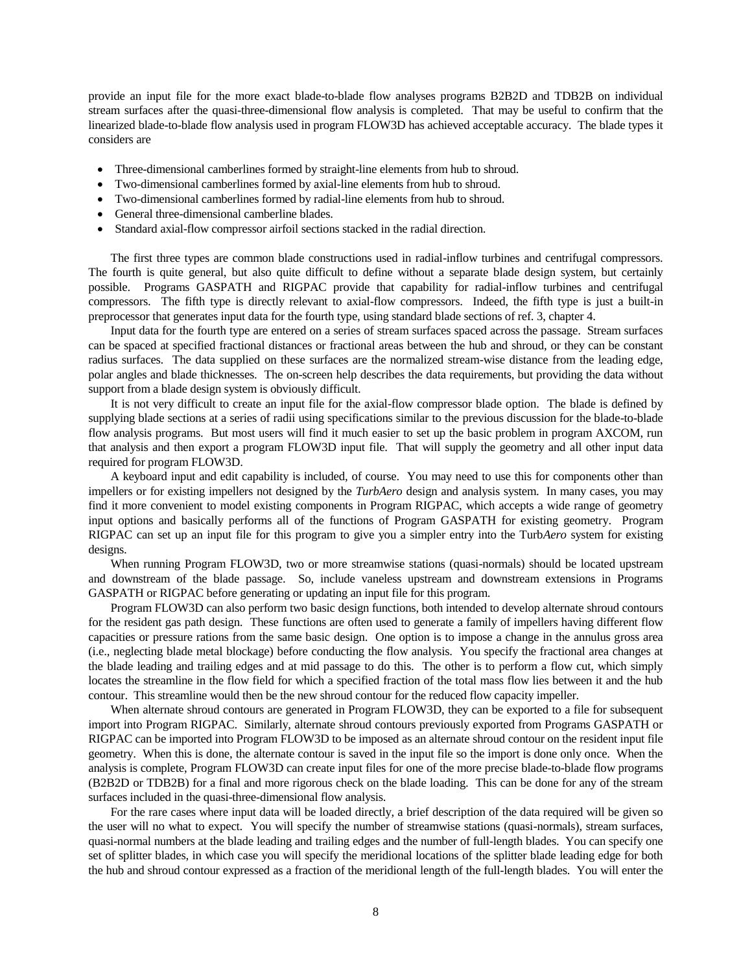provide an input file for the more exact blade-to-blade flow analyses programs B2B2D and TDB2B on individual stream surfaces after the quasi-three-dimensional flow analysis is completed. That may be useful to confirm that the linearized blade-to-blade flow analysis used in program FLOW3D has achieved acceptable accuracy. The blade types it considers are

- Three-dimensional camberlines formed by straight-line elements from hub to shroud.
- Two-dimensional camberlines formed by axial-line elements from hub to shroud.
- Two-dimensional camberlines formed by radial-line elements from hub to shroud.
- General three-dimensional camberline blades.
- Standard axial-flow compressor airfoil sections stacked in the radial direction.

The first three types are common blade constructions used in radial-inflow turbines and centrifugal compressors. The fourth is quite general, but also quite difficult to define without a separate blade design system, but certainly possible. Programs GASPATH and RIGPAC provide that capability for radial-inflow turbines and centrifugal compressors. The fifth type is directly relevant to axial-flow compressors. Indeed, the fifth type is just a built-in preprocessor that generates input data for the fourth type, using standard blade sections of ref. 3, chapter 4.

Input data for the fourth type are entered on a series of stream surfaces spaced across the passage. Stream surfaces can be spaced at specified fractional distances or fractional areas between the hub and shroud, or they can be constant radius surfaces. The data supplied on these surfaces are the normalized stream-wise distance from the leading edge, polar angles and blade thicknesses. The on-screen help describes the data requirements, but providing the data without support from a blade design system is obviously difficult.

It is not very difficult to create an input file for the axial-flow compressor blade option. The blade is defined by supplying blade sections at a series of radii using specifications similar to the previous discussion for the blade-to-blade flow analysis programs. But most users will find it much easier to set up the basic problem in program AXCOM, run that analysis and then export a program FLOW3D input file. That will supply the geometry and all other input data required for program FLOW3D.

A keyboard input and edit capability is included, of course. You may need to use this for components other than impellers or for existing impellers not designed by the *TurbAero* design and analysis system. In many cases, you may find it more convenient to model existing components in Program RIGPAC, which accepts a wide range of geometry input options and basically performs all of the functions of Program GASPATH for existing geometry. Program RIGPAC can set up an input file for this program to give you a simpler entry into the Turb*Aero* system for existing designs.

When running Program FLOW3D, two or more streamwise stations (quasi-normals) should be located upstream and downstream of the blade passage. So, include vaneless upstream and downstream extensions in Programs GASPATH or RIGPAC before generating or updating an input file for this program.

Program FLOW3D can also perform two basic design functions, both intended to develop alternate shroud contours for the resident gas path design. These functions are often used to generate a family of impellers having different flow capacities or pressure rations from the same basic design. One option is to impose a change in the annulus gross area (i.e., neglecting blade metal blockage) before conducting the flow analysis. You specify the fractional area changes at the blade leading and trailing edges and at mid passage to do this. The other is to perform a flow cut, which simply locates the streamline in the flow field for which a specified fraction of the total mass flow lies between it and the hub contour. This streamline would then be the new shroud contour for the reduced flow capacity impeller.

When alternate shroud contours are generated in Program FLOW3D, they can be exported to a file for subsequent import into Program RIGPAC. Similarly, alternate shroud contours previously exported from Programs GASPATH or RIGPAC can be imported into Program FLOW3D to be imposed as an alternate shroud contour on the resident input file geometry. When this is done, the alternate contour is saved in the input file so the import is done only once. When the analysis is complete, Program FLOW3D can create input files for one of the more precise blade-to-blade flow programs (B2B2D or TDB2B) for a final and more rigorous check on the blade loading. This can be done for any of the stream surfaces included in the quasi-three-dimensional flow analysis.

For the rare cases where input data will be loaded directly, a brief description of the data required will be given so the user will no what to expect. You will specify the number of streamwise stations (quasi-normals), stream surfaces, quasi-normal numbers at the blade leading and trailing edges and the number of full-length blades. You can specify one set of splitter blades, in which case you will specify the meridional locations of the splitter blade leading edge for both the hub and shroud contour expressed as a fraction of the meridional length of the full-length blades. You will enter the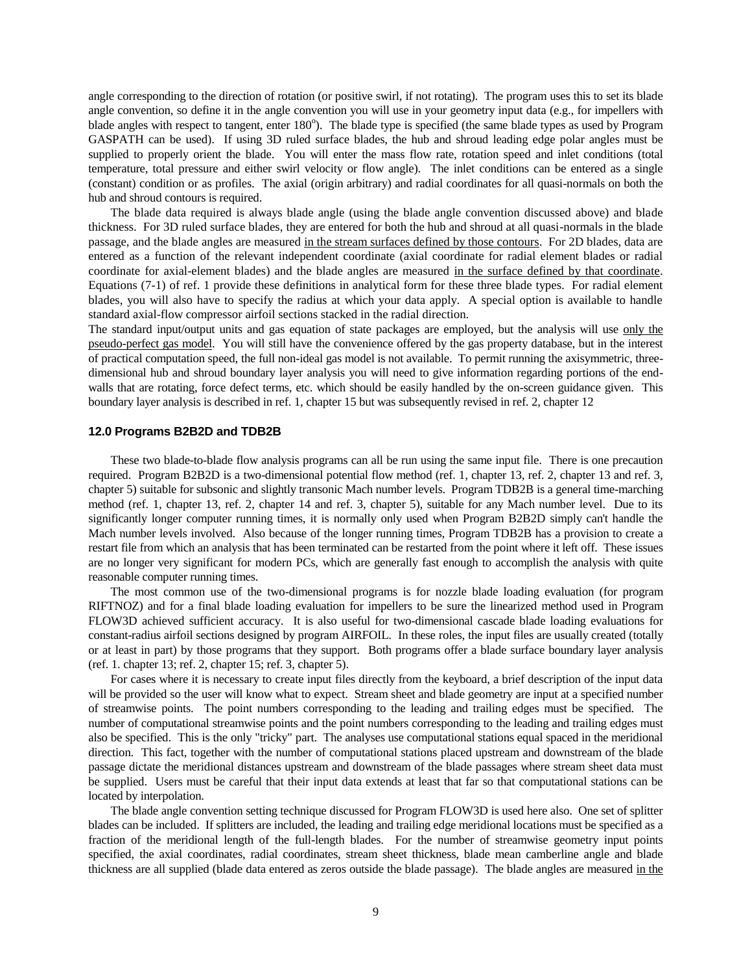angle corresponding to the direction of rotation (or positive swirl, if not rotating). The program uses this to set its blade angle convention, so define it in the angle convention you will use in your geometry input data (e.g., for impellers with blade angles with respect to tangent, enter 180°). The blade type is specified (the same blade types as used by Program GASPATH can be used). If using 3D ruled surface blades, the hub and shroud leading edge polar angles must be supplied to properly orient the blade. You will enter the mass flow rate, rotation speed and inlet conditions (total temperature, total pressure and either swirl velocity or flow angle). The inlet conditions can be entered as a single (constant) condition or as profiles. The axial (origin arbitrary) and radial coordinates for all quasi-normals on both the hub and shroud contours is required.

The blade data required is always blade angle (using the blade angle convention discussed above) and blade thickness. For 3D ruled surface blades, they are entered for both the hub and shroud at all quasi-normals in the blade passage, and the blade angles are measured in the stream surfaces defined by those contours. For 2D blades, data are entered as a function of the relevant independent coordinate (axial coordinate for radial element blades or radial coordinate for axial-element blades) and the blade angles are measured in the surface defined by that coordinate. Equations (7-1) of ref. 1 provide these definitions in analytical form for these three blade types. For radial element blades, you will also have to specify the radius at which your data apply. A special option is available to handle standard axial-flow compressor airfoil sections stacked in the radial direction.

The standard input/output units and gas equation of state packages are employed, but the analysis will use only the pseudo-perfect gas model. You will still have the convenience offered by the gas property database, but in the interest of practical computation speed, the full non-ideal gas model is not available. To permit running the axisymmetric, threedimensional hub and shroud boundary layer analysis you will need to give information regarding portions of the endwalls that are rotating, force defect terms, etc. which should be easily handled by the on-screen guidance given. This boundary layer analysis is described in ref. 1, chapter 15 but was subsequently revised in ref. 2, chapter 12

### **12.0 Programs B2B2D and TDB2B**

These two blade-to-blade flow analysis programs can all be run using the same input file. There is one precaution required. Program B2B2D is a two-dimensional potential flow method (ref. 1, chapter 13, ref. 2, chapter 13 and ref. 3, chapter 5) suitable for subsonic and slightly transonic Mach number levels. Program TDB2B is a general time-marching method (ref. 1, chapter 13, ref. 2, chapter 14 and ref. 3, chapter 5), suitable for any Mach number level. Due to its significantly longer computer running times, it is normally only used when Program B2B2D simply can't handle the Mach number levels involved. Also because of the longer running times, Program TDB2B has a provision to create a restart file from which an analysis that has been terminated can be restarted from the point where it left off. These issues are no longer very significant for modern PCs, which are generally fast enough to accomplish the analysis with quite reasonable computer running times.

The most common use of the two-dimensional programs is for nozzle blade loading evaluation (for program RIFTNOZ) and for a final blade loading evaluation for impellers to be sure the linearized method used in Program FLOW3D achieved sufficient accuracy. It is also useful for two-dimensional cascade blade loading evaluations for constant-radius airfoil sections designed by program AIRFOIL. In these roles, the input files are usually created (totally or at least in part) by those programs that they support. Both programs offer a blade surface boundary layer analysis (ref. 1. chapter 13; ref. 2, chapter 15; ref. 3, chapter 5).

For cases where it is necessary to create input files directly from the keyboard, a brief description of the input data will be provided so the user will know what to expect. Stream sheet and blade geometry are input at a specified number of streamwise points. The point numbers corresponding to the leading and trailing edges must be specified. The number of computational streamwise points and the point numbers corresponding to the leading and trailing edges must also be specified. This is the only "tricky" part. The analyses use computational stations equal spaced in the meridional direction. This fact, together with the number of computational stations placed upstream and downstream of the blade passage dictate the meridional distances upstream and downstream of the blade passages where stream sheet data must be supplied. Users must be careful that their input data extends at least that far so that computational stations can be located by interpolation.

The blade angle convention setting technique discussed for Program FLOW3D is used here also. One set of splitter blades can be included. If splitters are included, the leading and trailing edge meridional locations must be specified as a fraction of the meridional length of the full-length blades. For the number of streamwise geometry input points specified, the axial coordinates, radial coordinates, stream sheet thickness, blade mean camberline angle and blade thickness are all supplied (blade data entered as zeros outside the blade passage). The blade angles are measured in the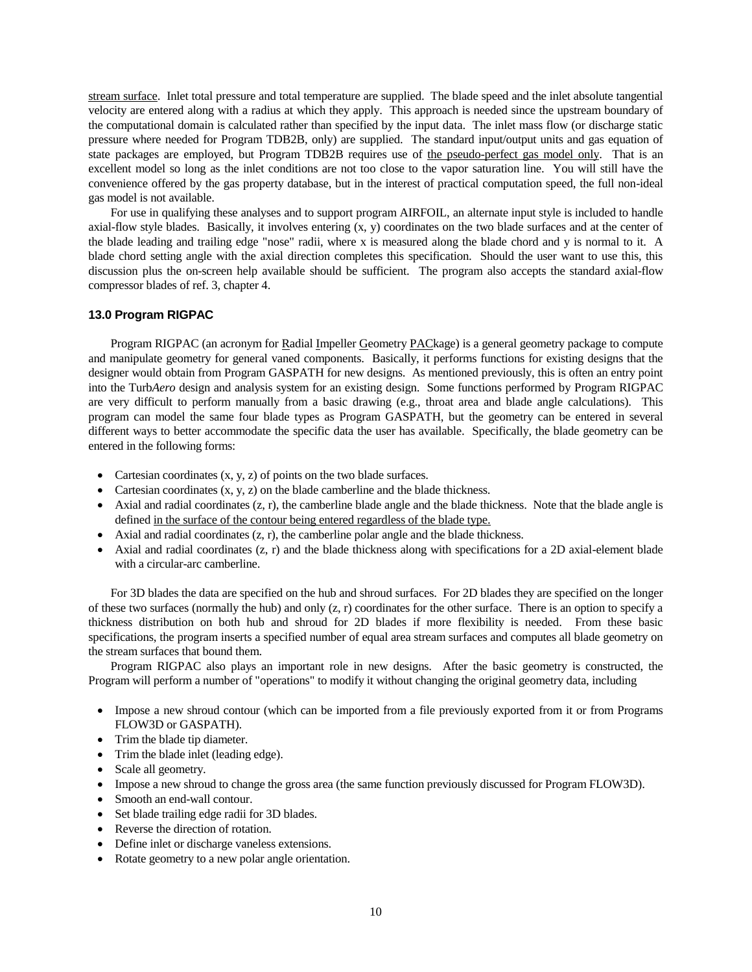stream surface. Inlet total pressure and total temperature are supplied. The blade speed and the inlet absolute tangential velocity are entered along with a radius at which they apply. This approach is needed since the upstream boundary of the computational domain is calculated rather than specified by the input data. The inlet mass flow (or discharge static pressure where needed for Program TDB2B, only) are supplied. The standard input/output units and gas equation of state packages are employed, but Program TDB2B requires use of the pseudo-perfect gas model only. That is an excellent model so long as the inlet conditions are not too close to the vapor saturation line. You will still have the convenience offered by the gas property database, but in the interest of practical computation speed, the full non-ideal gas model is not available.

For use in qualifying these analyses and to support program AIRFOIL, an alternate input style is included to handle axial-flow style blades. Basically, it involves entering (x, y) coordinates on the two blade surfaces and at the center of the blade leading and trailing edge "nose" radii, where x is measured along the blade chord and y is normal to it. A blade chord setting angle with the axial direction completes this specification. Should the user want to use this, this discussion plus the on-screen help available should be sufficient. The program also accepts the standard axial-flow compressor blades of ref. 3, chapter 4.

### **13.0 Program RIGPAC**

Program RIGPAC (an acronym for Radial Impeller Geometry PACkage) is a general geometry package to compute and manipulate geometry for general vaned components. Basically, it performs functions for existing designs that the designer would obtain from Program GASPATH for new designs. As mentioned previously, this is often an entry point into the Turb*Aero* design and analysis system for an existing design. Some functions performed by Program RIGPAC are very difficult to perform manually from a basic drawing (e.g., throat area and blade angle calculations). This program can model the same four blade types as Program GASPATH, but the geometry can be entered in several different ways to better accommodate the specific data the user has available. Specifically, the blade geometry can be entered in the following forms:

- Cartesian coordinates  $(x, y, z)$  of points on the two blade surfaces.
- Cartesian coordinates  $(x, y, z)$  on the blade camberline and the blade thickness.
- $\bullet$  Axial and radial coordinates (z, r), the camberline blade angle and the blade thickness. Note that the blade angle is defined in the surface of the contour being entered regardless of the blade type.
- Axial and radial coordinates  $(z, r)$ , the camberline polar angle and the blade thickness.
- Axial and radial coordinates  $(z, r)$  and the blade thickness along with specifications for a 2D axial-element blade with a circular-arc camberline.

For 3D blades the data are specified on the hub and shroud surfaces. For 2D blades they are specified on the longer of these two surfaces (normally the hub) and only (z, r) coordinates for the other surface. There is an option to specify a thickness distribution on both hub and shroud for 2D blades if more flexibility is needed. From these basic specifications, the program inserts a specified number of equal area stream surfaces and computes all blade geometry on the stream surfaces that bound them.

Program RIGPAC also plays an important role in new designs. After the basic geometry is constructed, the Program will perform a number of "operations" to modify it without changing the original geometry data, including

- Impose a new shroud contour (which can be imported from a file previously exported from it or from Programs FLOW3D or GASPATH).
- Trim the blade tip diameter.
- Trim the blade inlet (leading edge).
- Scale all geometry.
- Impose a new shroud to change the gross area (the same function previously discussed for Program FLOW3D).
- Smooth an end-wall contour.
- Set blade trailing edge radii for 3D blades.
- Reverse the direction of rotation.
- Define inlet or discharge vaneless extensions.
- Rotate geometry to a new polar angle orientation.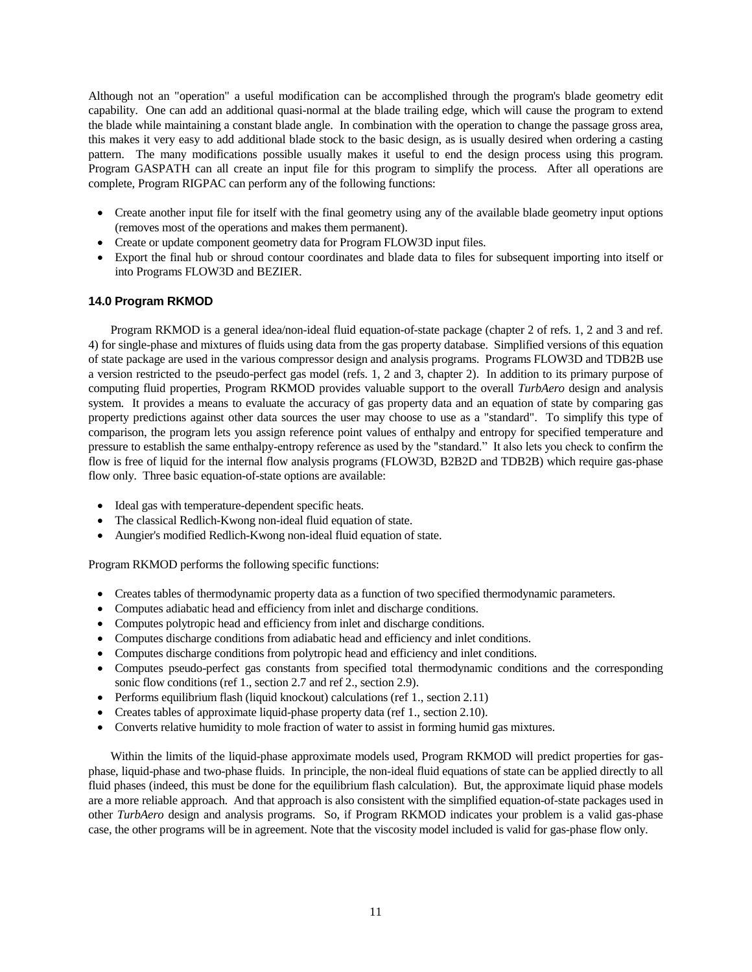Although not an "operation" a useful modification can be accomplished through the program's blade geometry edit capability. One can add an additional quasi-normal at the blade trailing edge, which will cause the program to extend the blade while maintaining a constant blade angle. In combination with the operation to change the passage gross area, this makes it very easy to add additional blade stock to the basic design, as is usually desired when ordering a casting pattern. The many modifications possible usually makes it useful to end the design process using this program. Program GASPATH can all create an input file for this program to simplify the process. After all operations are complete, Program RIGPAC can perform any of the following functions:

- Create another input file for itself with the final geometry using any of the available blade geometry input options (removes most of the operations and makes them permanent).
- Create or update component geometry data for Program FLOW3D input files.
- Export the final hub or shroud contour coordinates and blade data to files for subsequent importing into itself or into Programs FLOW3D and BEZIER.

# **14.0 Program RKMOD**

Program RKMOD is a general idea/non-ideal fluid equation-of-state package (chapter 2 of refs. 1, 2 and 3 and ref. 4) for single-phase and mixtures of fluids using data from the gas property database. Simplified versions of this equation of state package are used in the various compressor design and analysis programs. Programs FLOW3D and TDB2B use a version restricted to the pseudo-perfect gas model (refs. 1, 2 and 3, chapter 2). In addition to its primary purpose of computing fluid properties, Program RKMOD provides valuable support to the overall *TurbAero* design and analysis system. It provides a means to evaluate the accuracy of gas property data and an equation of state by comparing gas property predictions against other data sources the user may choose to use as a "standard". To simplify this type of comparison, the program lets you assign reference point values of enthalpy and entropy for specified temperature and pressure to establish the same enthalpy-entropy reference as used by the "standard." It also lets you check to confirm the flow is free of liquid for the internal flow analysis programs (FLOW3D, B2B2D and TDB2B) which require gas-phase flow only. Three basic equation-of-state options are available:

- Ideal gas with temperature-dependent specific heats.
- The classical Redlich-Kwong non-ideal fluid equation of state.
- Aungier's modified Redlich-Kwong non-ideal fluid equation of state.

Program RKMOD performs the following specific functions:

- Creates tables of thermodynamic property data as a function of two specified thermodynamic parameters.
- Computes adiabatic head and efficiency from inlet and discharge conditions.
- Computes polytropic head and efficiency from inlet and discharge conditions.
- Computes discharge conditions from adiabatic head and efficiency and inlet conditions.
- Computes discharge conditions from polytropic head and efficiency and inlet conditions.
- Computes pseudo-perfect gas constants from specified total thermodynamic conditions and the corresponding sonic flow conditions (ref 1., section 2.7 and ref 2., section 2.9).
- Performs equilibrium flash (liquid knockout) calculations (ref 1, section 2.11)
- Creates tables of approximate liquid-phase property data (ref 1., section 2.10).
- Converts relative humidity to mole fraction of water to assist in forming humid gas mixtures.

Within the limits of the liquid-phase approximate models used, Program RKMOD will predict properties for gasphase, liquid-phase and two-phase fluids. In principle, the non-ideal fluid equations of state can be applied directly to all fluid phases (indeed, this must be done for the equilibrium flash calculation). But, the approximate liquid phase models are a more reliable approach. And that approach is also consistent with the simplified equation-of-state packages used in other *TurbAero* design and analysis programs. So, if Program RKMOD indicates your problem is a valid gas-phase case, the other programs will be in agreement. Note that the viscosity model included is valid for gas-phase flow only.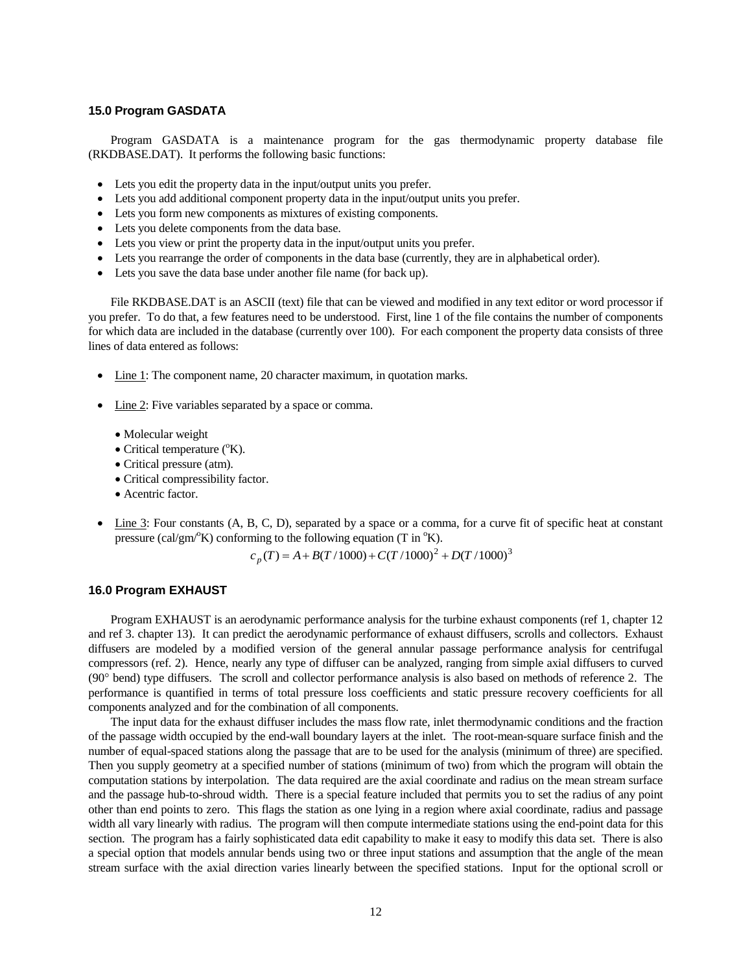## **15.0 Program GASDATA**

Program GASDATA is a maintenance program for the gas thermodynamic property database file (RKDBASE.DAT). It performs the following basic functions:

- Lets you edit the property data in the input/output units you prefer.
- Lets you add additional component property data in the input/output units you prefer.
- Lets you form new components as mixtures of existing components.
- Lets you delete components from the data base.
- Lets you view or print the property data in the input/output units you prefer.
- Lets you rearrange the order of components in the data base (currently, they are in alphabetical order).
- Lets you save the data base under another file name (for back up).

File RKDBASE.DAT is an ASCII (text) file that can be viewed and modified in any text editor or word processor if you prefer. To do that, a few features need to be understood. First, line 1 of the file contains the number of components for which data are included in the database (currently over 100). For each component the property data consists of three lines of data entered as follows:

- Line 1: The component name, 20 character maximum, in quotation marks.
- Line 2: Five variables separated by a space or comma.
	- Molecular weight
	- $\bullet$  Critical temperature ( $\rm{^oK}$ ).
	- Critical pressure (atm).
	- Critical compressibility factor.
	- Acentric factor.
- Line 3: Four constants (A, B, C, D), separated by a space or a comma, for a curve fit of specific heat at constant pressure (cal/gm<sup>o</sup>K) conforming to the following equation (T in  $\mathrm{^{\circ}K}$ ).

$$
c_p(T) = A + B(T/1000) + C(T/1000)^2 + D(T/1000)^3
$$

# **16.0 Program EXHAUST**

Program EXHAUST is an aerodynamic performance analysis for the turbine exhaust components (ref 1, chapter 12 and ref 3. chapter 13). It can predict the aerodynamic performance of exhaust diffusers, scrolls and collectors. Exhaust diffusers are modeled by a modified version of the general annular passage performance analysis for centrifugal compressors (ref. 2). Hence, nearly any type of diffuser can be analyzed, ranging from simple axial diffusers to curved  $(90^\circ \text{ bend})$  type diffusers. The scroll and collector performance analysis is also based on methods of reference 2. The performance is quantified in terms of total pressure loss coefficients and static pressure recovery coefficients for all components analyzed and for the combination of all components.

The input data for the exhaust diffuser includes the mass flow rate, inlet thermodynamic conditions and the fraction of the passage width occupied by the end-wall boundary layers at the inlet. The root-mean-square surface finish and the number of equal-spaced stations along the passage that are to be used for the analysis (minimum of three) are specified. Then you supply geometry at a specified number of stations (minimum of two) from which the program will obtain the computation stations by interpolation. The data required are the axial coordinate and radius on the mean stream surface and the passage hub-to-shroud width. There is a special feature included that permits you to set the radius of any point other than end points to zero. This flags the station as one lying in a region where axial coordinate, radius and passage width all vary linearly with radius. The program will then compute intermediate stations using the end-point data for this section. The program has a fairly sophisticated data edit capability to make it easy to modify this data set. There is also a special option that models annular bends using two or three input stations and assumption that the angle of the mean stream surface with the axial direction varies linearly between the specified stations. Input for the optional scroll or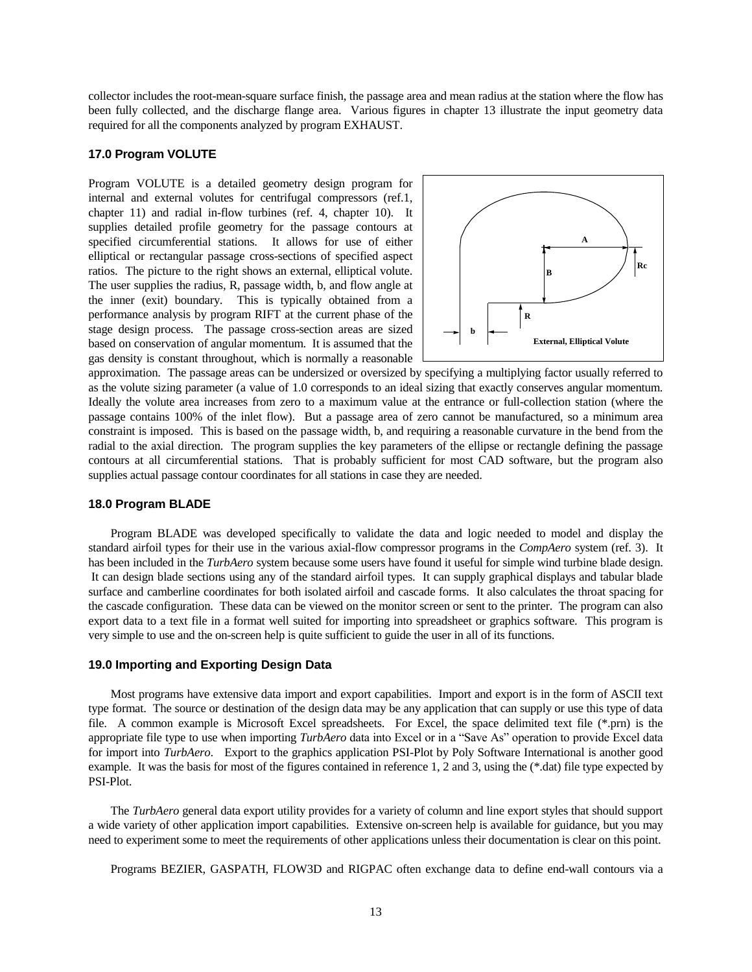collector includes the root-mean-square surface finish, the passage area and mean radius at the station where the flow has been fully collected, and the discharge flange area. Various figures in chapter 13 illustrate the input geometry data required for all the components analyzed by program EXHAUST.

## **17.0 Program VOLUTE**

Program VOLUTE is a detailed geometry design program for internal and external volutes for centrifugal compressors (ref.1, chapter 11) and radial in-flow turbines (ref. 4, chapter 10). It supplies detailed profile geometry for the passage contours at specified circumferential stations. It allows for use of either elliptical or rectangular passage cross-sections of specified aspect ratios. The picture to the right shows an external, elliptical volute. The user supplies the radius, R, passage width, b, and flow angle at the inner (exit) boundary. This is typically obtained from a performance analysis by program RIFT at the current phase of the stage design process. The passage cross-section areas are sized based on conservation of angular momentum. It is assumed that the gas density is constant throughout, which is normally a reasonable



approximation. The passage areas can be undersized or oversized by specifying a multiplying factor usually referred to as the volute sizing parameter (a value of 1.0 corresponds to an ideal sizing that exactly conserves angular momentum. Ideally the volute area increases from zero to a maximum value at the entrance or full-collection station (where the passage contains 100% of the inlet flow). But a passage area of zero cannot be manufactured, so a minimum area constraint is imposed. This is based on the passage width, b, and requiring a reasonable curvature in the bend from the radial to the axial direction. The program supplies the key parameters of the ellipse or rectangle defining the passage contours at all circumferential stations. That is probably sufficient for most CAD software, but the program also supplies actual passage contour coordinates for all stations in case they are needed.

## **18.0 Program BLADE**

Program BLADE was developed specifically to validate the data and logic needed to model and display the standard airfoil types for their use in the various axial-flow compressor programs in the *CompAero* system (ref. 3). It has been included in the *TurbAero* system because some users have found it useful for simple wind turbine blade design. It can design blade sections using any of the standard airfoil types. It can supply graphical displays and tabular blade surface and camberline coordinates for both isolated airfoil and cascade forms. It also calculates the throat spacing for the cascade configuration. These data can be viewed on the monitor screen or sent to the printer. The program can also export data to a text file in a format well suited for importing into spreadsheet or graphics software. This program is very simple to use and the on-screen help is quite sufficient to guide the user in all of its functions.

### **19.0 Importing and Exporting Design Data**

Most programs have extensive data import and export capabilities. Import and export is in the form of ASCII text type format. The source or destination of the design data may be any application that can supply or use this type of data file. A common example is Microsoft Excel spreadsheets. For Excel, the space delimited text file (\*.prn) is the appropriate file type to use when importing *TurbAero* data into Excel or in a "Save As" operation to provide Excel data for import into *TurbAero*. Export to the graphics application PSI-Plot by Poly Software International is another good example. It was the basis for most of the figures contained in reference 1, 2 and 3, using the (\*.dat) file type expected by PSI-Plot.

The *TurbAero* general data export utility provides for a variety of column and line export styles that should support a wide variety of other application import capabilities. Extensive on-screen help is available for guidance, but you may need to experiment some to meet the requirements of other applications unless their documentation is clear on this point.

Programs BEZIER, GASPATH, FLOW3D and RIGPAC often exchange data to define end-wall contours via a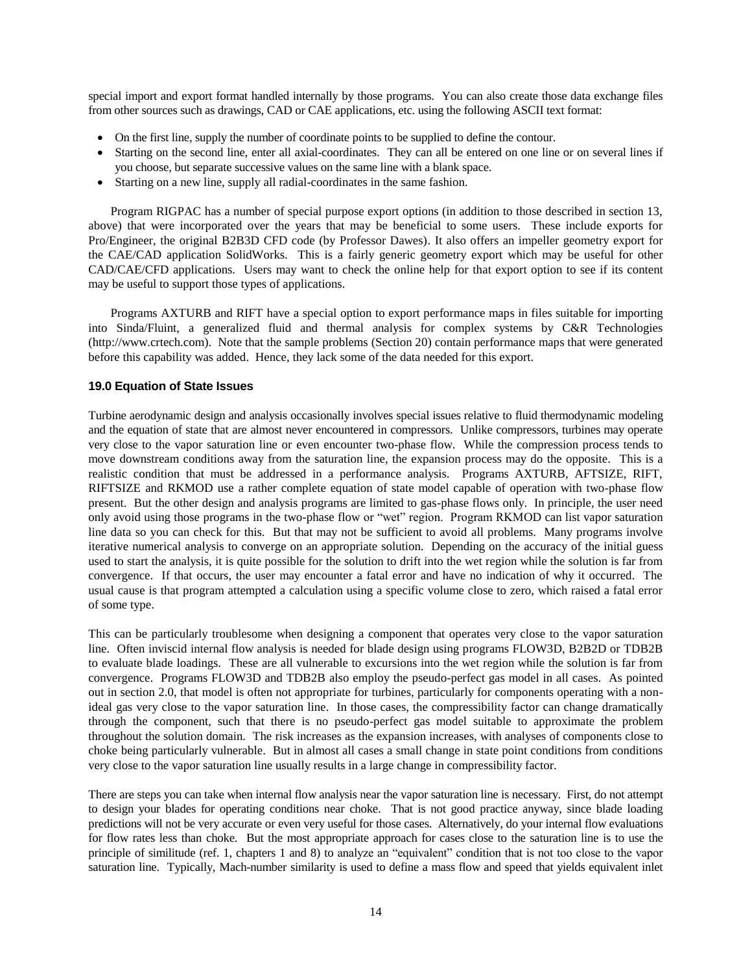special import and export format handled internally by those programs. You can also create those data exchange files from other sources such as drawings, CAD or CAE applications, etc. using the following ASCII text format:

- On the first line, supply the number of coordinate points to be supplied to define the contour.
- Starting on the second line, enter all axial-coordinates. They can all be entered on one line or on several lines if you choose, but separate successive values on the same line with a blank space.
- Starting on a new line, supply all radial-coordinates in the same fashion.

Program RIGPAC has a number of special purpose export options (in addition to those described in section 13, above) that were incorporated over the years that may be beneficial to some users. These include exports for Pro/Engineer, the original B2B3D CFD code (by Professor Dawes). It also offers an impeller geometry export for the CAE/CAD application SolidWorks. This is a fairly generic geometry export which may be useful for other CAD/CAE/CFD applications. Users may want to check the online help for that export option to see if its content may be useful to support those types of applications.

Programs AXTURB and RIFT have a special option to export performance maps in files suitable for importing into Sinda/Fluint, a generalized fluid and thermal analysis for complex systems by C&R Technologies (http://www.crtech.com). Note that the sample problems (Section 20) contain performance maps that were generated before this capability was added. Hence, they lack some of the data needed for this export.

## **19.0 Equation of State Issues**

Turbine aerodynamic design and analysis occasionally involves special issues relative to fluid thermodynamic modeling and the equation of state that are almost never encountered in compressors. Unlike compressors, turbines may operate very close to the vapor saturation line or even encounter two-phase flow. While the compression process tends to move downstream conditions away from the saturation line, the expansion process may do the opposite. This is a realistic condition that must be addressed in a performance analysis. Programs AXTURB, AFTSIZE, RIFT, RIFTSIZE and RKMOD use a rather complete equation of state model capable of operation with two-phase flow present. But the other design and analysis programs are limited to gas-phase flows only. In principle, the user need only avoid using those programs in the two-phase flow or "wet" region. Program RKMOD can list vapor saturation line data so you can check for this. But that may not be sufficient to avoid all problems. Many programs involve iterative numerical analysis to converge on an appropriate solution. Depending on the accuracy of the initial guess used to start the analysis, it is quite possible for the solution to drift into the wet region while the solution is far from convergence. If that occurs, the user may encounter a fatal error and have no indication of why it occurred. The usual cause is that program attempted a calculation using a specific volume close to zero, which raised a fatal error of some type.

This can be particularly troublesome when designing a component that operates very close to the vapor saturation line. Often inviscid internal flow analysis is needed for blade design using programs FLOW3D, B2B2D or TDB2B to evaluate blade loadings. These are all vulnerable to excursions into the wet region while the solution is far from convergence. Programs FLOW3D and TDB2B also employ the pseudo-perfect gas model in all cases. As pointed out in section 2.0, that model is often not appropriate for turbines, particularly for components operating with a nonideal gas very close to the vapor saturation line. In those cases, the compressibility factor can change dramatically through the component, such that there is no pseudo-perfect gas model suitable to approximate the problem throughout the solution domain. The risk increases as the expansion increases, with analyses of components close to choke being particularly vulnerable. But in almost all cases a small change in state point conditions from conditions very close to the vapor saturation line usually results in a large change in compressibility factor.

There are steps you can take when internal flow analysis near the vapor saturation line is necessary. First, do not attempt to design your blades for operating conditions near choke. That is not good practice anyway, since blade loading predictions will not be very accurate or even very useful for those cases. Alternatively, do your internal flow evaluations for flow rates less than choke. But the most appropriate approach for cases close to the saturation line is to use the principle of similitude (ref. 1, chapters 1 and 8) to analyze an "equivalent" condition that is not too close to the vapor saturation line. Typically, Mach-number similarity is used to define a mass flow and speed that yields equivalent inlet